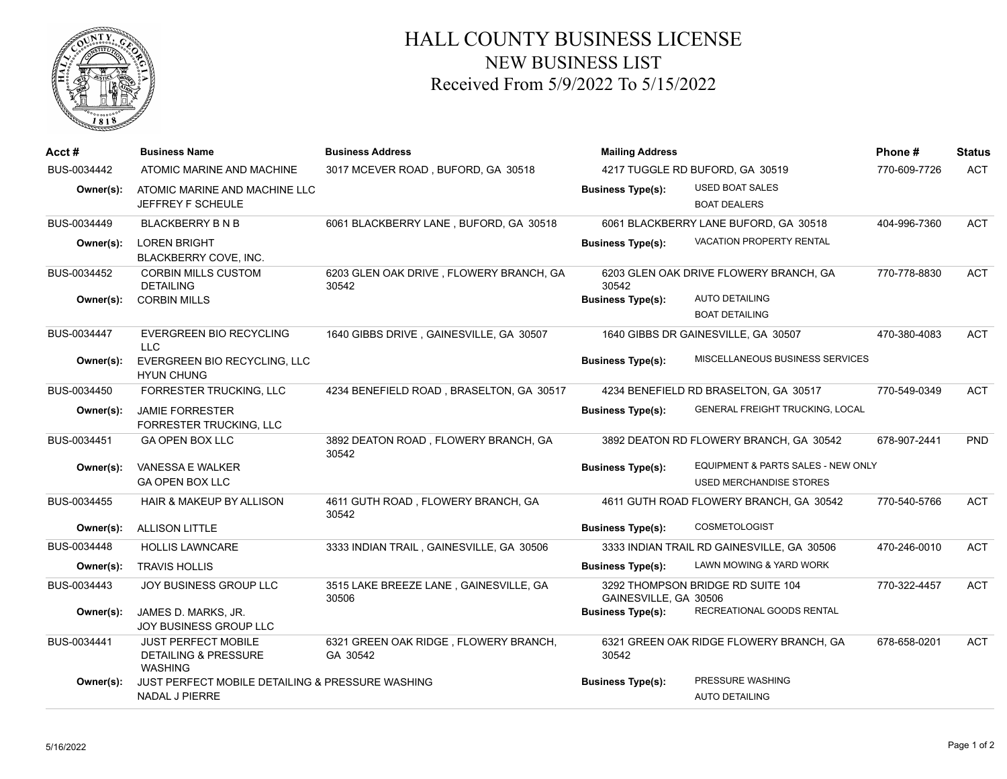

## HALL COUNTY BUSINESS LICENSE NEW BUSINESS LIST Received From 5/9/2022 To 5/15/2022

| Acct#       | <b>Business Name</b>                                                            | <b>Business Address</b>                           | <b>Mailing Address</b>              |                                                                      | Phone#       | <b>Status</b> |
|-------------|---------------------------------------------------------------------------------|---------------------------------------------------|-------------------------------------|----------------------------------------------------------------------|--------------|---------------|
| BUS-0034442 | ATOMIC MARINE AND MACHINE                                                       | 3017 MCEVER ROAD, BUFORD, GA 30518                | 4217 TUGGLE RD BUFORD, GA 30519     |                                                                      | 770-609-7726 | <b>ACT</b>    |
| Owner(s):   | ATOMIC MARINE AND MACHINE LLC<br>JEFFREY F SCHEULE                              |                                                   | <b>Business Type(s):</b>            | <b>USED BOAT SALES</b><br><b>BOAT DEALERS</b>                        |              |               |
| BUS-0034449 | <b>BLACKBERRY B N B</b>                                                         | 6061 BLACKBERRY LANE, BUFORD, GA 30518            |                                     | 6061 BLACKBERRY LANE BUFORD, GA 30518                                | 404-996-7360 | <b>ACT</b>    |
| Owner(s):   | <b>LOREN BRIGHT</b><br>BLACKBERRY COVE, INC.                                    |                                                   | <b>Business Type(s):</b>            | <b>VACATION PROPERTY RENTAL</b>                                      |              |               |
| BUS-0034452 | <b>CORBIN MILLS CUSTOM</b><br><b>DETAILING</b>                                  | 6203 GLEN OAK DRIVE, FLOWERY BRANCH, GA<br>30542  | 30542                               | 6203 GLEN OAK DRIVE FLOWERY BRANCH, GA                               | 770-778-8830 | <b>ACT</b>    |
| Owner(s):   | <b>CORBIN MILLS</b>                                                             |                                                   | <b>Business Type(s):</b>            | <b>AUTO DETAILING</b>                                                |              |               |
|             |                                                                                 |                                                   |                                     | <b>BOAT DETAILING</b>                                                |              |               |
| BUS-0034447 | <b>EVERGREEN BIO RECYCLING</b><br>LLC                                           | 1640 GIBBS DRIVE, GAINESVILLE, GA 30507           | 1640 GIBBS DR GAINESVILLE, GA 30507 |                                                                      | 470-380-4083 | <b>ACT</b>    |
| Owner(s):   | EVERGREEN BIO RECYCLING, LLC<br><b>HYUN CHUNG</b>                               |                                                   | <b>Business Type(s):</b>            | MISCELLANEOUS BUSINESS SERVICES                                      |              |               |
| BUS-0034450 | FORRESTER TRUCKING, LLC                                                         | 4234 BENEFIELD ROAD, BRASELTON, GA 30517          |                                     | 4234 BENEFIELD RD BRASELTON, GA 30517                                | 770-549-0349 | <b>ACT</b>    |
| Owner(s):   | <b>JAMIE FORRESTER</b><br>FORRESTER TRUCKING, LLC                               |                                                   | <b>Business Type(s):</b>            | GENERAL FREIGHT TRUCKING, LOCAL                                      |              |               |
| BUS-0034451 | <b>GA OPEN BOX LLC</b>                                                          | 3892 DEATON ROAD, FLOWERY BRANCH, GA<br>30542     |                                     | 3892 DEATON RD FLOWERY BRANCH, GA 30542                              | 678-907-2441 | <b>PND</b>    |
| Owner(s):   | <b>VANESSA E WALKER</b><br><b>GA OPEN BOX LLC</b>                               |                                                   | <b>Business Type(s):</b>            | EQUIPMENT & PARTS SALES - NEW ONLY<br><b>USED MERCHANDISE STORES</b> |              |               |
| BUS-0034455 | <b>HAIR &amp; MAKEUP BY ALLISON</b>                                             | 4611 GUTH ROAD, FLOWERY BRANCH, GA<br>30542       |                                     | 4611 GUTH ROAD FLOWERY BRANCH, GA 30542                              | 770-540-5766 | <b>ACT</b>    |
| Owner(s):   | <b>ALLISON LITTLE</b>                                                           |                                                   | <b>Business Type(s):</b>            | <b>COSMETOLOGIST</b>                                                 |              |               |
| BUS-0034448 | <b>HOLLIS LAWNCARE</b>                                                          | 3333 INDIAN TRAIL, GAINESVILLE, GA 30506          |                                     | 3333 INDIAN TRAIL RD GAINESVILLE, GA 30506                           | 470-246-0010 | <b>ACT</b>    |
| Owner(s):   | <b>TRAVIS HOLLIS</b>                                                            |                                                   | <b>Business Type(s):</b>            | LAWN MOWING & YARD WORK                                              |              |               |
| BUS-0034443 | JOY BUSINESS GROUP LLC                                                          | 3515 LAKE BREEZE LANE, GAINESVILLE, GA<br>30506   | GAINESVILLE, GA 30506               | 3292 THOMPSON BRIDGE RD SUITE 104                                    | 770-322-4457 | <b>ACT</b>    |
| Owner(s):   | JAMES D. MARKS, JR.<br>JOY BUSINESS GROUP LLC                                   |                                                   | <b>Business Type(s):</b>            | RECREATIONAL GOODS RENTAL                                            |              |               |
| BUS-0034441 | <b>JUST PERFECT MOBILE</b><br><b>DETAILING &amp; PRESSURE</b><br><b>WASHING</b> | 6321 GREEN OAK RIDGE, FLOWERY BRANCH,<br>GA 30542 | 30542                               | 6321 GREEN OAK RIDGE FLOWERY BRANCH, GA                              | 678-658-0201 | <b>ACT</b>    |
| Owner(s):   | JUST PERFECT MOBILE DETAILING & PRESSURE WASHING<br><b>NADAL J PIERRE</b>       |                                                   | <b>Business Type(s):</b>            | PRESSURE WASHING<br><b>AUTO DETAILING</b>                            |              |               |